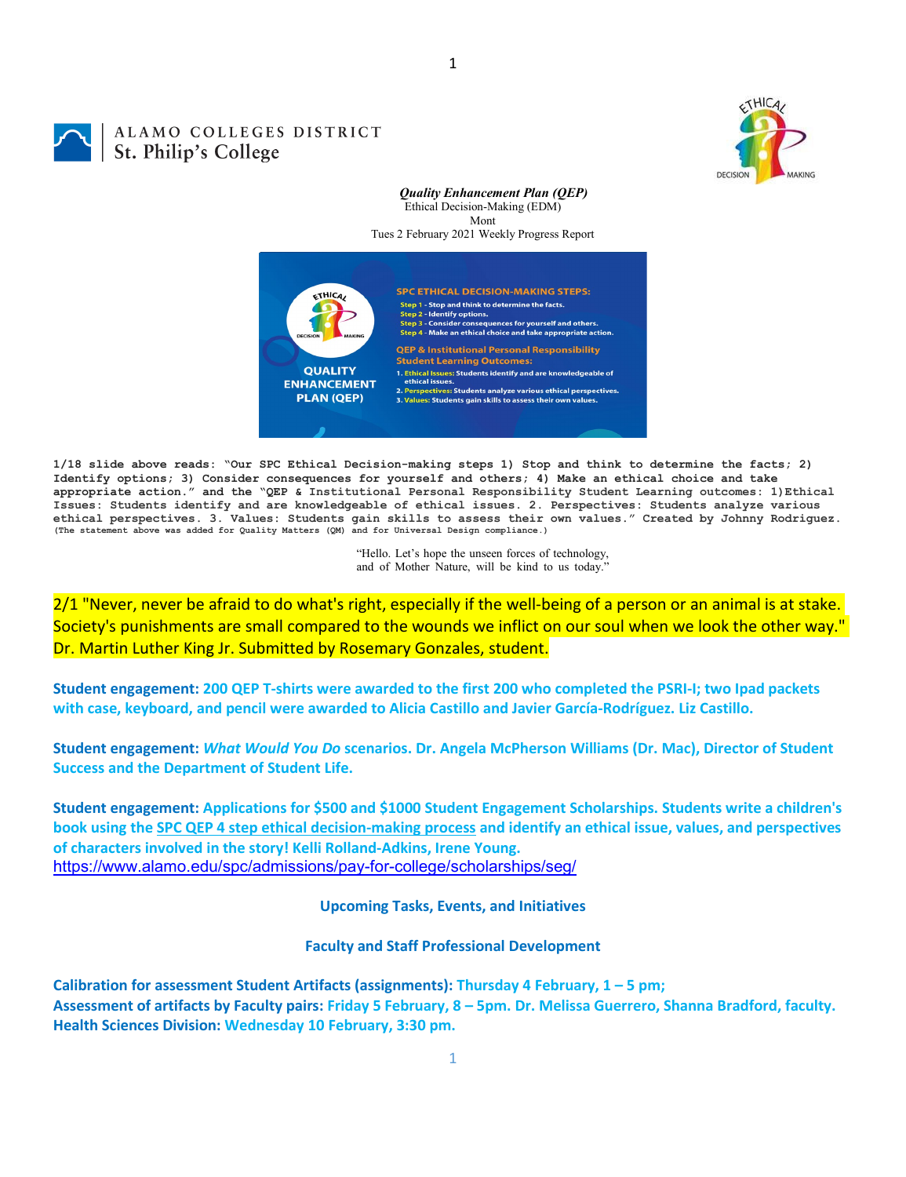

## ALAMO COLLEGES DISTRICT St. Philip's College

## *Quality Enhancement Plan (QEP)* Ethical Decision-Making (EDM) Mont Tues 2 February 2021 Weekly Progress Report



**1/18 slide above reads: "Our SPC Ethical Decision-making steps 1) Stop and think to determine the facts; 2) Identify options; 3) Consider consequences for yourself and others; 4) Make an ethical choice and take appropriate action." and the "QEP & Institutional Personal Responsibility Student Learning outcomes: 1)Ethical Issues: Students identify and are knowledgeable of ethical issues. 2. Perspectives: Students analyze various**  ethical perspectives. 3. Values: Students gain skills to assess their own values." Created by Johnny Rodriguez.<br>(The statement above was added for Quality Matters (QM) and for Universal Design compliance.)

> "Hello. Let's hope the unseen forces of technology, and of Mother Nature, will be kind to us today."

2/1 "Never, never be afraid to do what's right, especially if the well-being of a person or an animal is at stake. Society's punishments are small compared to the wounds we inflict on our soul when we look the other way." Dr. Martin Luther King Jr. Submitted by Rosemary Gonzales, student.

**Student engagement: 200 QEP T-shirts were awarded to the first 200 who completed the PSRI-I; two Ipad packets with case, keyboard, and pencil were awarded to Alicia Castillo and Javier García-Rodríguez. Liz Castillo.**

**Student engagement:** *What Would You Do* **scenarios. Dr. Angela McPherson Williams (Dr. Mac), Director of Student Success and the Department of Student Life.**

**Student engagement: Applications for \$500 and \$1000 Student Engagement Scholarships. Students write a children's book using the [SPC QEP 4 step ethical decision-making process](https://mail.alamo.edu/owa/redir.aspx?REF=QPGGgOE-3HbbrbCAzqBFQWbtY3e2Gc0f0qSFld99-4hqZWSPr8DYCAFodHRwczovL3d3dy5hbGFtby5lZHUvbGluay8zYjg5NjQxMTY3MGY0YTZlYjU2MzNkNGFmNjE1OTBjNC5hc3B4) and identify an ethical issue, values, and perspectives of characters involved in the story! Kelli Rolland-Adkins, Irene Young.** <https://www.alamo.edu/spc/admissions/pay-for-college/scholarships/seg/>

**Upcoming Tasks, Events, and Initiatives**

**Faculty and Staff Professional Development**

**Calibration for assessment Student Artifacts (assignments): Thursday 4 February, 1 – 5 pm; Assessment of artifacts by Faculty pairs: Friday 5 February, 8 – 5pm. Dr. Melissa Guerrero, Shanna Bradford, faculty. Health Sciences Division: Wednesday 10 February, 3:30 pm.**

1